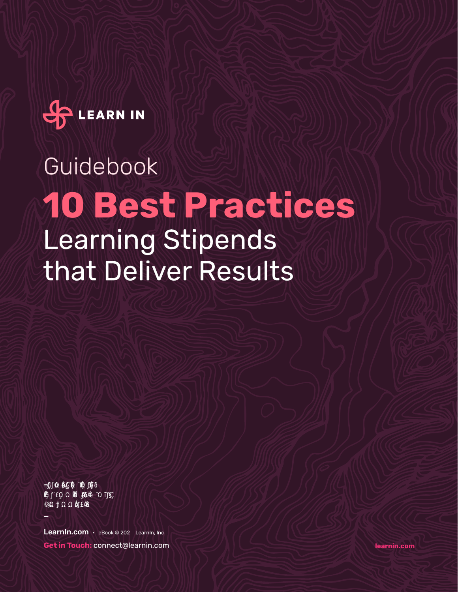

# **10 Best Practices** Learning Stipends that Deliver Results Guidebook

Learnin.com · eBook @ 202 Learnin, Inc **Get in Touch:** connect@learnin.com

**=™'ÚÄ.Ä©™½×Þ•ËÃׂĬ™Þ悎½¬Þ©æ'½™Äæ'••™Ã¬Þ**

\_

**learnin.com**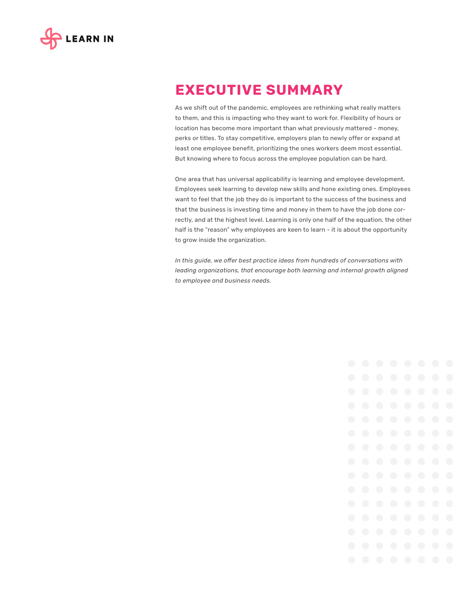

# **EXECUTIVE SUMMARY**

As we shift out of the pandemic, employees are rethinking what really matters to them, and this is impacting who they want to work for. Flexibility of hours or location has become more important than what previously mattered - money, perks or titles. To stay competitive, employers plan to newly offer or expand at least one employee benefit, prioritizing the ones workers deem most essential. But knowing where to focus across the employee population can be hard.

One area that has universal applicability is learning and employee development. Employees seek learning to develop new skills and hone existing ones. Employees want to feel that the job they do is important to the success of the business and that the business is investing time and money in them to have the job done correctly, and at the highest level. Learning is only one half of the equation, the other half is the "reason" why employees are keen to learn - it is about the opportunity to grow inside the organization.

*In this guide, we offer best practice ideas from hundreds of conversations with leading organizations, that encourage both learning and internal growth aligned to employee and business needs.*

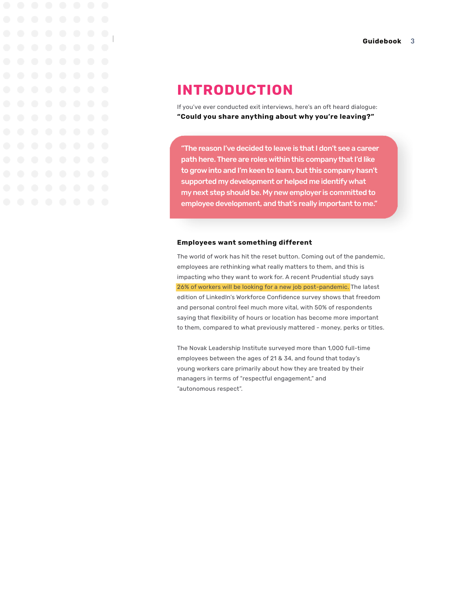

# **INTRODUCTION**

If you've ever conducted exit interviews, here's an oft heard dialogue: **"Could you share anything about why you're leaving?"**

"The reason I've decided to leave is that I don't see a career path here. There are roles within this company that I'd like to grow into and I'm keen to learn, but this company hasn't supported my development or helped me identify what my next step should be. My new employer is committed to employee development, and that's really important to me."

#### **Employees want something different**

The world of work has hit the reset button. Coming out of the pandemic, employees are rethinking what really matters to them, and this is impacting who they want to work for. A recent Prudential study says 26% of workers will be looking for a new job post-pandemic. The latest edition of LinkedIn's Workforce Confidence survey shows that freedom and personal control feel much more vital, with 50% of respondents saying that flexibility of hours or location has become more important to them, compared to what previously mattered - money, perks or titles.

The Novak Leadership Institute surveyed more than 1,000 full-time employees between the ages of 21 & 34, and found that today's young workers care primarily about how they are treated by their managers in terms of "respectful engagement," and "autonomous respect".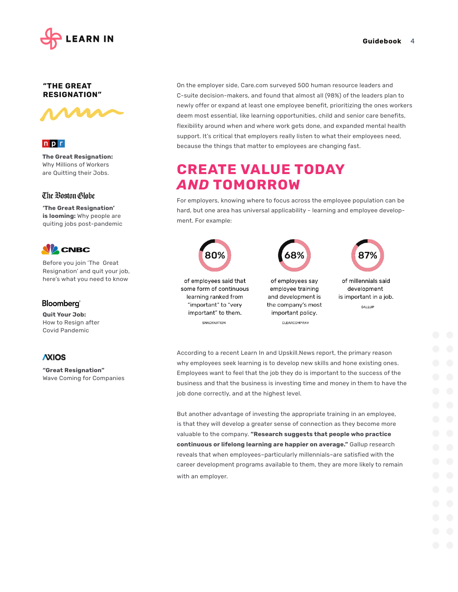

### **"THE GREAT RESIGNATION"**



### $n p r$

**The Great Resignation:** Why Millions of Workers are Quitting their Jobs.

### The Boston Globe

**'The Great Resignation' is looming:** Why people are quiting jobs post-pandemic



Before you join 'The Great Resignation' and quit your job, here's what you need to know

### Bloomberg<sup>®</sup>

**Quit Your Job:**  How to Resign after Covid Pandemic

### **AXIOS**

**"Great Resignation"** Wave Coming for Companies On the employer side, Care.com surveyed 500 human resource leaders and C-suite decision-makers, and found that almost all (98%) of the leaders plan to newly offer or expand at least one employee benefit, prioritizing the ones workers deem most essential, like learning opportunities, child and senior care benefits, flexibility around when and where work gets done, and expanded mental health support. It's critical that employers really listen to what their employees need, because the things that matter to employees are changing fast.

# **CREATE VALUE TODAY**  *AND* **TOMORROW**

For employers, knowing where to focus across the employee population can be hard, but one area has universal applicability - learning and employee development. For example:



According to a recent Learn In and Upskill.News report, the primary reason why employees seek learning is to develop new skills and hone existing ones. Employees want to feel that the job they do is important to the success of the business and that the business is investing time and money in them to have the job done correctly, and at the highest level.

But another advantage of investing the appropriate training in an employee, is that they will develop a greater sense of connection as they become more valuable to the company. **"Research suggests that people who practice continuous or lifelong learning are happier on average."** Gallup research reveals that when employees–particularly millennials–are satisfied with the career development programs available to them, they are more likely to remain with an employer.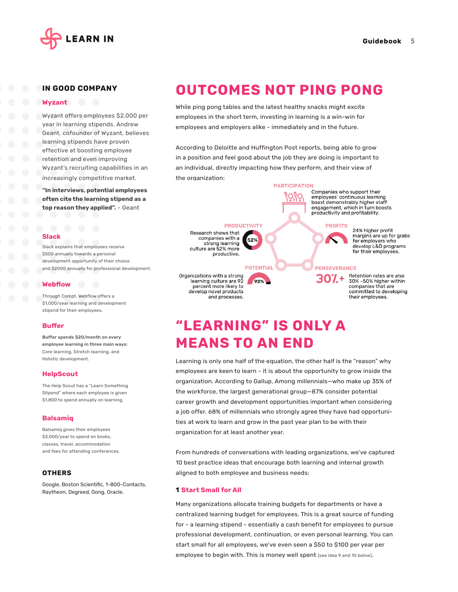

their employees.

#### **IN GOOD COMPANY**

#### **Wyzant**

Wyzant offers employees \$2,000 per year in learning stipends. Andrew Geant, cofounder of Wyzant, believes learning stipends have proven effective at boosting employee retention and even improving Wyzant's recruiting capabilities in an increasingly competitive market.

**"In interviews, potential employees often cite the learning stipend as a top reason they applied".** - Geant

#### **Slack**

Slack explains that employees receive \$500 annually towards a personal development opportunity of their choice and \$2000 annually for professional development.

#### **Webflow**

Through Compt, Webflow offers a \$1,000/year learning and development stipend for their employees.

#### **Buffer**

Buffer spends \$20/month on every employee learning in three main ways: Core learning, Stretch learning, and Holistic development.

#### **HelpScout**

The Help Scout has a "Learn Something Stipend" where each employee is given \$1,800 to spend annually on learning.

#### **Balsamiq**

Balsamiq gives their employees \$3,000/year to spend on books. classes, travel, accommodation and fees for attending conferences.

#### **OTHERS**

Google, Boston Scientific, 1-800-Contacts, Raytheon, Degreed, Gong, Oracle.

## **OUTCOMES NOT PING PONG**

While ping pong tables and the latest healthy snacks might excite employees in the short term, investing in learning is a win-win for employees and employers alike - immediately and in the future.

According to Deloitte and Huffington Post reports, being able to grow in a position and feel good about the job they are doing is important to an individual, directly impacting how they perform, and their view of the organization:



# **"LEARNING" IS ONLY A MEANS TO AN END**

and processes.

Learning is only one half of the equation, the other half is the "reason" why employees are keen to learn - it is about the opportunity to grow inside the organization. According to Gallup, Among millennials—who make up 35% of the workforce, the largest generational group—87% consider potential career growth and development opportunities important when considering a job offer. 68% of millennials who strongly agree they have had opportunities at work to learn and grow in the past year plan to be with their organization for at least another year.

From hundreds of conversations with leading organizations, we've captured 10 best practice ideas that encourage both learning and internal growth aligned to both employee and business needs:

#### **1 Start Small for All**

Many organizations allocate training budgets for departments or have a centralized learning budget for employees. This is a great source of funding for - a learning stipend - essentially a cash benefit for employees to pursue professional development, continuation, or even personal learning. You can start small for all employees, we've even seen a \$50 to \$100 per year per employee to begin with. This is money well spent (see idea 9 and 10 below).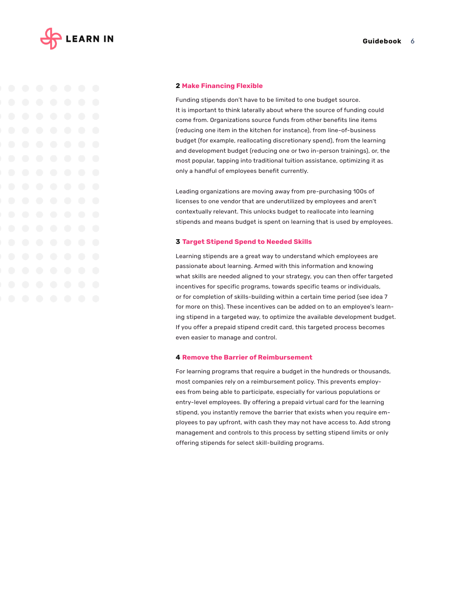

#### **2 Make Financing Flexible**

Funding stipends don't have to be limited to one budget source. It is important to think laterally about where the source of funding could come from. Organizations source funds from other benefits line items (reducing one item in the kitchen for instance), from line-of-business budget (for example, reallocating discretionary spend), from the learning and development budget (reducing one or two in-person trainings), or, the most popular, tapping into traditional tuition assistance, optimizing it as only a handful of employees benefit currently.

Leading organizations are moving away from pre-purchasing 100s of licenses to one vendor that are underutilized by employees and aren't contextually relevant. This unlocks budget to reallocate into learning stipends and means budget is spent on learning that is used by employees.

#### **3 Target Stipend Spend to Needed Skills**

Learning stipends are a great way to understand which employees are passionate about learning. Armed with this information and knowing what skills are needed aligned to your strategy, you can then offer targeted incentives for specific programs, towards specific teams or individuals, or for completion of skills-building within a certain time period (see idea 7 for more on this). These incentives can be added on to an employee's learning stipend in a targeted way, to optimize the available development budget. If you offer a prepaid stipend credit card, this targeted process becomes even easier to manage and control.

#### **4 Remove the Barrier of Reimbursement**

For learning programs that require a budget in the hundreds or thousands, most companies rely on a reimbursement policy. This prevents employees from being able to participate, especially for various populations or entry-level employees. By offering a prepaid virtual card for the learning stipend, you instantly remove the barrier that exists when you require employees to pay upfront, with cash they may not have access to. Add strong management and controls to this process by setting stipend limits or only offering stipends for select skill-building programs.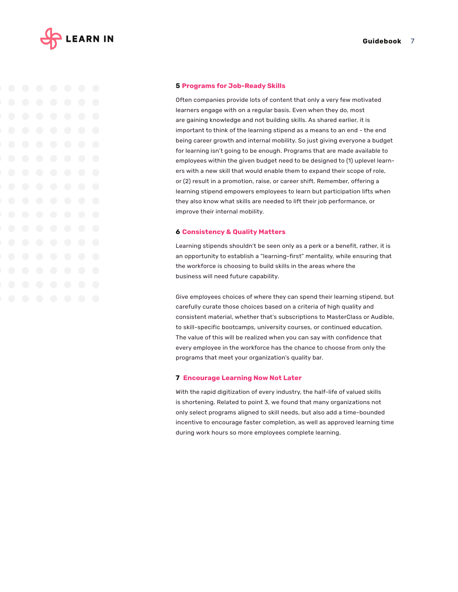

#### **5 Programs for Job-Ready Skills**

Often companies provide lots of content that only a very few motivated learners engage with on a regular basis. Even when they do, most are gaining knowledge and not building skills. As shared earlier, it is important to think of the learning stipend as a means to an end - the end being career growth and internal mobility. So just giving everyone a budget for learning isn't going to be enough. Programs that are made available to employees within the given budget need to be designed to (1) uplevel learners with a new skill that would enable them to expand their scope of role, or (2) result in a promotion, raise, or career shift. Remember, offering a learning stipend empowers employees to learn but participation lifts when they also know what skills are needed to lift their job performance, or improve their internal mobility.

#### **6 Consistency & Quality Matters**

Learning stipends shouldn't be seen only as a perk or a benefit, rather, it is an opportunity to establish a "learning-first" mentality, while ensuring that the workforce is choosing to build skills in the areas where the business will need future capability.

Give employees choices of where they can spend their learning stipend, but carefully curate those choices based on a criteria of high quality and consistent material, whether that's subscriptions to MasterClass or Audible, to skill-specific bootcamps, university courses, or continued education. The value of this will be realized when you can say with confidence that every employee in the workforce has the chance to choose from only the programs that meet your organization's quality bar.

#### **7 Encourage Learning Now Not Later**

With the rapid digitization of every industry, the half-life of valued skills is shortening. Related to point 3, we found that many organizations not only select programs aligned to skill needs, but also add a time-bounded incentive to encourage faster completion, as well as approved learning time during work hours so more employees complete learning.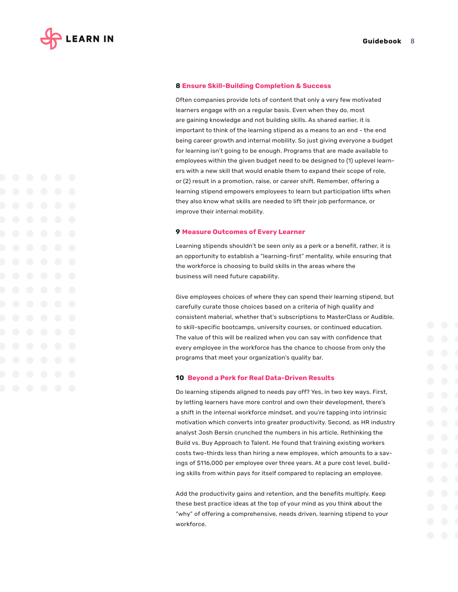

#### **8 Ensure Skill-Building Completion & Success**

Often companies provide lots of content that only a very few motivated learners engage with on a regular basis. Even when they do, most are gaining knowledge and not building skills. As shared earlier, it is important to think of the learning stipend as a means to an end - the end being career growth and internal mobility. So just giving everyone a budget for learning isn't going to be enough. Programs that are made available to employees within the given budget need to be designed to (1) uplevel learners with a new skill that would enable them to expand their scope of role, or (2) result in a promotion, raise, or career shift. Remember, offering a learning stipend empowers employees to learn but participation lifts when they also know what skills are needed to lift their job performance, or improve their internal mobility.

#### **9 Measure Outcomes of Every Learner**

Learning stipends shouldn't be seen only as a perk or a benefit, rather, it is an opportunity to establish a "learning-first" mentality, while ensuring that the workforce is choosing to build skills in the areas where the business will need future capability.

Give employees choices of where they can spend their learning stipend, but carefully curate those choices based on a criteria of high quality and consistent material, whether that's subscriptions to MasterClass or Audible, to skill-specific bootcamps, university courses, or continued education. The value of this will be realized when you can say with confidence that every employee in the workforce has the chance to choose from only the programs that meet your organization's quality bar.

#### **10 Beyond a Perk for Real Data-Driven Results**

Do learning stipends aligned to needs pay off? Yes, in two key ways. First, by letting learners have more control and own their development, there's a shift in the internal workforce mindset, and you're tapping into intrinsic motivation which converts into greater productivity. Second, as HR industry analyst Josh Bersin crunched the numbers in his article, Rethinking the Build vs. Buy Approach to Talent. He found that training existing workers costs two-thirds less than hiring a new employee, which amounts to a savings of \$116,000 per employee over three years. At a pure cost level, building skills from within pays for itself compared to replacing an employee.

Add the productivity gains and retention, and the benefits multiply. Keep these best practice ideas at the top of your mind as you think about the "why" of offering a comprehensive, needs driven, learning stipend to your workforce.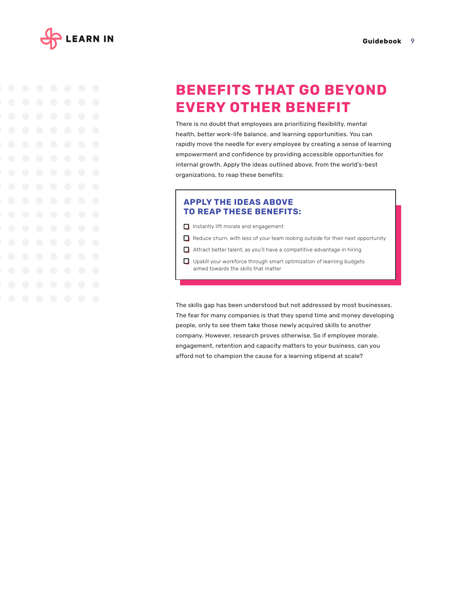



# **BENEFITS THAT GO BEYOND EVERY OTHER BENEFIT**

There is no doubt that employees are prioritizing flexibility, mental health, better work-life balance, and learning opportunities. You can rapidly move the needle for every employee by creating a sense of learning empowerment and confidence by providing accessible opportunities for internal growth. Apply the ideas outlined above, from the world's-best organizations, to reap these benefits:

### **APPLY THE IDEAS ABOVE TO REAP THESE BENEFITS:**

- **Instantly lift morale and engagement**
- **I** Reduce churn, with less of your team looking outside for their next opportunity
- Attract better talent, as you'll have a competitive advantage in hiring
- **U** Upskill your workforce through smart optimization of learning budgets aimed towards the skills that matter

The skills gap has been understood but not addressed by most businesses. The fear for many companies is that they spend time and money developing people, only to see them take those newly acquired skills to another company. However, research proves otherwise. So if employee morale, engagement, retention and capacity matters to your business, can you afford not to champion the cause for a learning stipend at scale?